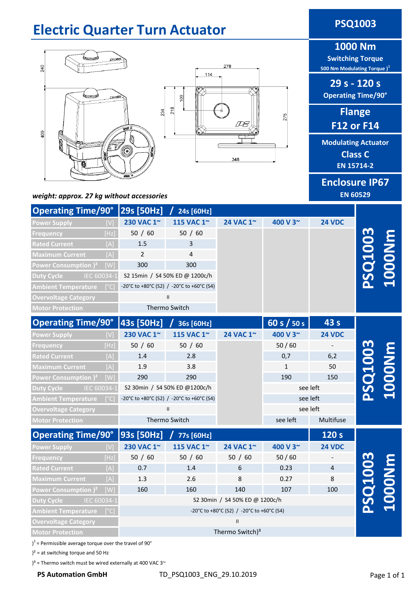# **Electric Quarter Turn Actuator <b>PSQ1003**





# **1000 Nm**

**Switching Torque 500 Nm Modulating Torque )<sup>1</sup>**

**29 s - 120 s Operating Time/90°**

> **Flange F12 or F14**

**Modulating Actuator Class C EN 15714-2**

## **Enclosure IP67 EN 60529**

#### *weight: approx. 27 kg without accessories*

| Operating Time/90° 29s [50Hz]        |      |                                           | 24s [60Hz]     |           |               |                |  |
|--------------------------------------|------|-------------------------------------------|----------------|-----------|---------------|----------------|--|
| <b>Power Supply</b>                  |      | 230 VAC 1~                                | 115 VAC 1~     | 24 VAC 1~ | 400 V 3~      | <b>24 VDC</b>  |  |
| <b>Frequency</b>                     | [Hz] | 50 / 60                                   | 50 / 60        |           |               |                |  |
| <b>Rated Current</b>                 | [A]  | 1.5                                       | 3              |           |               |                |  |
| <b>Maximum Current</b>               | [A]  | $\overline{2}$                            | $\overline{4}$ |           |               |                |  |
| Power Consumption ) <sup>2</sup> [W] |      | 300                                       | 300            |           |               |                |  |
| IEC 60034-1<br><b>Duty Cycle</b>     |      | S2 15min / S4 50% ED @ 1200c/h            |                |           |               |                |  |
| <b>Ambient Temperature</b>           | [°C] | -20°C to +80°C (S2) / -20°C to +60°C (S4) |                |           |               |                |  |
| <b>Overvoltage Category</b>          |      | $\mathbf{II}$                             |                |           |               |                |  |
| <b>Motor Protection</b>              |      | Thermo Switch                             |                |           |               |                |  |
| Operating Time/90°   43s [50Hz]      |      |                                           | 36s [60Hz]     |           | 60 s $/$ 50 s | 43 s           |  |
| <b>Power Supply</b>                  |      | 230 VAC 1~                                | 115 VAC 1~     | 24 VAC 1~ | 400 V 3~      | <b>24 VDC</b>  |  |
| Frequency                            | [Hz] | 50 / 60                                   | 50 / 60        |           | 50/60         |                |  |
| <b>Rated Current</b>                 | [A]  | 1.4                                       | 2.8            |           | 0,7           | 6,2            |  |
| <b>Maximum Current</b>               | [A]  | 1.9                                       | 3.8            |           | $\mathbf{1}$  | 50             |  |
| Power Consumption ) <sup>2</sup>     | [W]  | 290                                       | 290            |           | 190           | 150            |  |
| Duty Cycle IEC 60034-1               |      | S2 30min / S4 50% ED @1200c/h             |                |           |               | see left       |  |
| <b>Ambient Temperature</b>           | [°C] | -20°C to +80°C (S2) / -20°C to +60°C (S4) |                |           |               | see left       |  |
| <b>Overvoltage Category</b>          |      | $\mathbf{II}$                             |                |           |               | see left       |  |
| <b>Motor Protection</b>              |      | Thermo Switch                             |                |           | see left      | Multifuse      |  |
| <b>Operating Time/90°</b>            |      | 93s [50Hz]                                | 77s [60Hz]     |           |               | 120 s          |  |
| <b>Power Supply</b>                  |      | 230 VAC 1~                                | 115 VAC 1~     | 24 VAC 1~ | 400 V 3~      | <b>24 VDC</b>  |  |
| Frequency                            | [Hz] | 50 / 60                                   | 50 / 60        | 50 / 60   | 50/60         |                |  |
| <b>Rated Current</b>                 | [A]  | 0.7                                       | 1.4            | 6         | 0.23          | $\overline{4}$ |  |
| <b>Maximum Current</b>               | [A]  | 1.3                                       | 2.6            | 8         | 0.27          | 8              |  |
|                                      |      |                                           |                |           |               |                |  |

**Power Consumption )<sup>2</sup>** [W] **Duty Cycle** IEC 60034-1 **Ambient Temperature** [°C] **Overvoltage Category Motor Protection PSQ1003 100** 107 160 160 140 107 100 Thermo Switch)<sup>3</sup> II -20°C to +80°C (S2) / -20°C to +60°C (S4) S2 30min / S4 50% ED @ 1200c/h

)<sup>1</sup> = Permissible average torque over the travel of 90°

 $)^2$  = at switching torque and 50 Hz

 $3^3$  = Thermo switch must be wired externally at 400 VAC 3 $\sim$